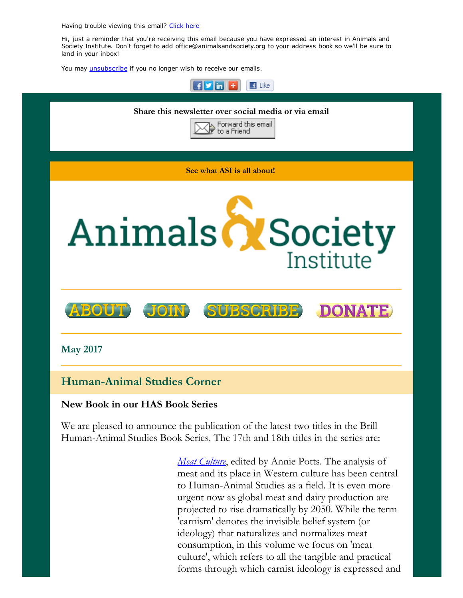Having trouble viewing this email? [Click](http://campaign.r20.constantcontact.com/render?ca=5b883096-f5b3-477a-980d-69f1e6b596d2&preview=true&m=1117082078075&id=preview) here

Hi, just a reminder that you're receiving this email because you have expressed an interest in Animals and Society Institute. Don't forget to add office@animalsandsociety.org to your address book so we'll be sure to land in your inbox!

You may *[unsubscribe](https://visitor.constantcontact.com/do?p=un&mse=0016u8cGCOk4ijLe6EYFlbq8UmlFeKV0nFU&t=001Jx8n0omFcSYtm_q1906qlg%3D%3D&id=001b-xBWU3VMkcM8dYr8taaWXSJRe02Iknl&llr=88spulqab)* if you no longer wish to receive our emails.



### New Book in our HAS Book Series

We are pleased to announce the publication of the latest two titles in the Brill Human-Animal Studies Book Series. The 17th and 18th titles in the series are:

> *Meat [Culture](https://squareup.com/store/the-animals-and-society-institute/item/meat-culture)*, edited by Annie Potts. The analysis of meat and its place in Western culture has been central to Human-Animal Studies as a field. It is even more urgent now as global meat and dairy production are projected to rise dramatically by 2050. While the term 'carnism' denotes the invisible belief system (or ideology) that naturalizes and normalizes meat consumption, in this volume we focus on 'meat culture', which refers to all the tangible and practical forms through which carnist ideology is expressed and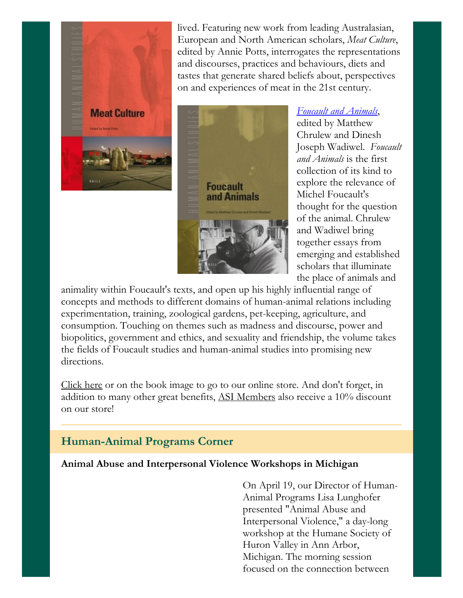

lived. Featuring new work from leading Australasian, European and North American scholars, *Meat Culture*, edited by Annie Potts, interrogates the representations and discourses, practices and behaviours, diets and tastes that generate shared beliefs about, perspectives on and experiences of meat in the 21st century.



### *Foucault and [Animals](https://squareup.com/store/the-animals-and-society-institute/item/foucault-and-animals)*,

edited by Matthew Chrulew and Dinesh Joseph Wadiwel. *Foucault and Animals* is the first collection of its kind to explore the relevance of Michel Foucault's thought for the question of the animal. Chrulew and Wadiwel bring together essays from emerging and established scholars that illuminate the place of animals and

animality within Foucault's texts, and open up his highly influential range of concepts and methods to different domains of human-animal relations including experimentation, training, zoological gardens, pet-keeping, agriculture, and consumption. Touching on themes such as madness and discourse, power and biopolitics, government and ethics, and sexuality and friendship, the volume takes the fields of Foucault studies and human-animal studies into promising new directions.

[Click](https://www.animalsandsociety.org/store/) here or on the book image to go to our online store. And don't forget, in addition to many other great benefits, ASI [Members](https://www.animalsandsociety.org/join-us/) also receive a 10% discount on our store!

# Human-Animal Programs Corner

#### Animal Abuse and Interpersonal Violence Workshops in Michigan

On April 19, our Director of Human-Animal Programs Lisa Lunghofer presented "Animal Abuse and Interpersonal Violence," a day-long workshop at the Humane Society of Huron Valley in Ann Arbor, Michigan. The morning session focused on the connection between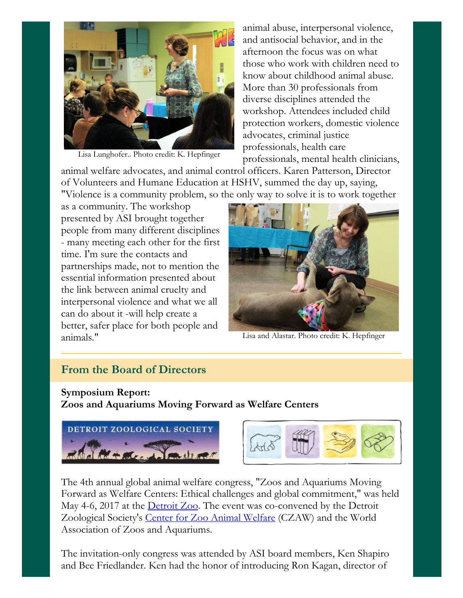

Lisa Lunghofer.. Photo credit: K. Hepfinger

animal abuse, interpersonal violence, and antisocial behavior, and in the afternoon the focus was on what those who work with children need to know about childhood animal abuse. More than 30 professionals from diverse disciplines attended the workshop. Attendees included child protection workers, domestic violence advocates, criminal justice professionals, health care professionals, mental health clinicians,

animal welfare advocates, and animal control officers. Karen Patterson, Director of Volunteers and Humane Education at HSHV, summed the day up, saying, "Violence is a community problem, so the only way to solve it is to work together

as a community. The workshop presented by ASI brought together people from many different disciplines - many meeting each other for the first time. I'm sure the contacts and partnerships made, not to mention the essential information presented about the link between animal cruelty and interpersonal violence and what we all can do about it -will help create a better, safer place for both people and animals."



Lisa and Alastar. Photo credit: K. Hepfinger

# From the Board of Directors

# Symposium Report: Zoos and Aquariums Moving Forward as Welfare Centers





The 4th annual global animal welfare congress, "Zoos and Aquariums Moving Forward as Welfare Centers: Ethical challenges and global commitment," was held May 4-6, 2017 at the **[Detroit](https://detroitzoo.org/) Zoo**. The event was co-convened by the Detroit Zoological Society's Center for Zoo Animal [Welfare](http://www.czaw.org/) (CZAW) and the World Association of Zoos and Aquariums.

The invitation-only congress was attended by ASI board members, Ken Shapiro and Bee Friedlander. Ken had the honor of introducing Ron Kagan, director of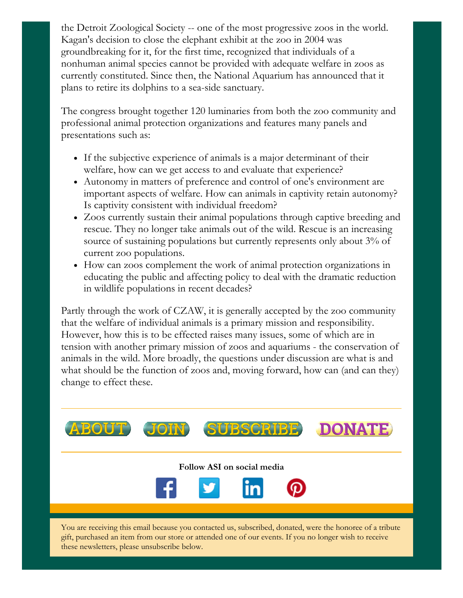the Detroit Zoological Society -- one of the most progressive zoos in the world. Kagan's decision to close the elephant exhibit at the zoo in 2004 was groundbreaking for it, for the first time, recognized that individuals of a nonhuman animal species cannot be provided with adequate welfare in zoos as currently constituted. Since then, the National Aquarium has announced that it plans to retire its dolphins to a sea-side sanctuary.

The congress brought together 120 luminaries from both the zoo community and professional animal protection organizations and features many panels and presentations such as:

- If the subjective experience of animals is a major determinant of their welfare, how can we get access to and evaluate that experience?
- Autonomy in matters of preference and control of one's environment are important aspects of welfare. How can animals in captivity retain autonomy? Is captivity consistent with individual freedom?
- Zoos currently sustain their animal populations through captive breeding and rescue. They no longer take animals out of the wild. Rescue is an increasing source of sustaining populations but currently represents only about 3% of current zoo populations.
- How can zoos complement the work of animal protection organizations in educating the public and affecting policy to deal with the dramatic reduction in wildlife populations in recent decades?

Partly through the work of CZAW, it is generally accepted by the zoo community that the welfare of individual animals is a primary mission and responsibility. However, how this is to be effected raises many issues, some of which are in tension with another primary mission of zoos and aquariums - the conservation of animals in the wild. More broadly, the questions under discussion are what is and what should be the function of zoos and, moving forward, how can (and can they) change to effect these.



You are receiving this email because you contacted us, subscribed, donated, were the honoree of a tribute gift, purchased an item from our store or attended one of our events. If you no longer wish to receive these newsletters, please unsubscribe below.